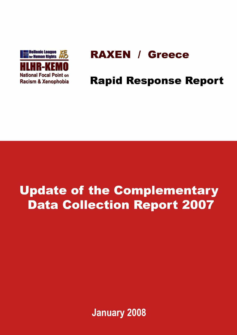

# **RAXEN / Greece**

# **Rapid Response Report**

# **Update of the Complementary Data Collection Report 2007**

**January 2008**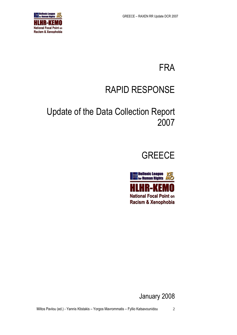

# FRA

# RAPID RESPONSE

# Update of the Data Collection Report 2007





January 2008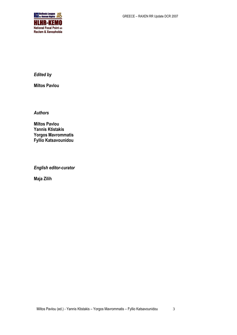

*Edited by*

**Miltos Pavlou**

*Authors*

**Miltos Pavlou Yannis Ktistakis Yorgos Mavrommatis Fyllio Katsavounidou**

*English editor-curator*

**Maja Zilih**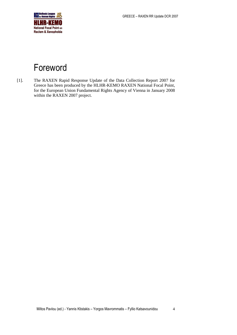

# <span id="page-3-0"></span>Foreword

[1]. The RAXEN Rapid Response Update of the Data Collection Report 2007 for Greece has been produced by the HLHR-KEMO RAXEN National Focal Point, for the European Union Fundamental Rights Agency of Vienna in January 2008 within the RAXEN 2007 project.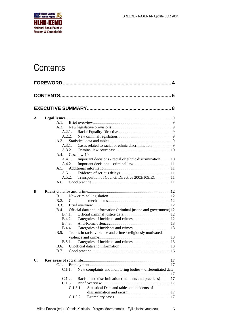

# <span id="page-4-0"></span>**Contents**

| A. |               |                                                                    |  |
|----|---------------|--------------------------------------------------------------------|--|
|    | A.1.          |                                                                    |  |
|    | A.2.          |                                                                    |  |
|    |               | A.2.1.                                                             |  |
|    |               | A.2.2.                                                             |  |
|    | A.3.          |                                                                    |  |
|    |               | Cases related to racial or ethnic discrimination 9<br>A.3.1.       |  |
|    | A.3.2.        |                                                                    |  |
|    |               | A.4. Case law 10                                                   |  |
|    |               | A.4.1.<br>Important decisions - racial or ethnic discrimination10  |  |
|    |               | A.4.2.                                                             |  |
|    |               |                                                                    |  |
|    |               | A.5.1.                                                             |  |
|    |               | A.5.2.<br>Transposition of Council Directive 2003/109/EC11         |  |
|    | A.6.          |                                                                    |  |
|    |               |                                                                    |  |
| В. |               |                                                                    |  |
|    | B.1.          |                                                                    |  |
|    | B.2.          |                                                                    |  |
|    | <b>B.3.</b>   |                                                                    |  |
|    | B.4.          | Official data and information (criminal justice and government) 12 |  |
|    |               | B.4.1.                                                             |  |
|    |               | <b>B.4.2.</b>                                                      |  |
|    |               | <b>B.4.3.</b>                                                      |  |
|    | <b>B.4.4.</b> |                                                                    |  |
|    | B.5.          | Trends in racist violence and crime / religiously motivated        |  |
|    |               |                                                                    |  |
|    | B.5.1.        |                                                                    |  |
|    | B.6.          |                                                                    |  |
|    | B.7.          |                                                                    |  |
|    |               |                                                                    |  |
| C. | C.1.          |                                                                    |  |
|    | C.1.1.        | New complaints and monitoring bodies - differentiated data         |  |
|    |               |                                                                    |  |
|    | C.1.2.        | Racism and discrimination (incidents and practices)17              |  |
|    |               | C.1.3.                                                             |  |
|    |               | Statistical Data and tables on incidents of<br>C.1.3.1.            |  |
|    |               |                                                                    |  |
|    |               | C.1.3.2.                                                           |  |
|    |               |                                                                    |  |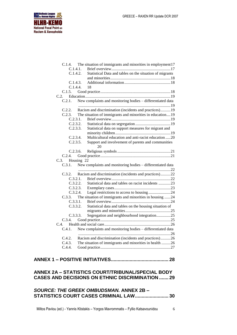

| C.1.4. The situation of immigrants and minorities in employment 17<br>C.1.4.1.<br>C.1.4.2.<br>Statistical Data and tables on the situation of migrants<br>C.1.4.3.<br>C.1.4.4.<br>18<br>C.1.5.<br>New complaints and monitoring bodies - differentiated data<br>C.2.1. |
|------------------------------------------------------------------------------------------------------------------------------------------------------------------------------------------------------------------------------------------------------------------------|
| Racism and discrimination (incidents and practices)19<br>C.2.2.                                                                                                                                                                                                        |
| C.2.3. The situation of immigrants and minorities in education19                                                                                                                                                                                                       |
| C.2.3.1.                                                                                                                                                                                                                                                               |
| C.2.3.2.                                                                                                                                                                                                                                                               |
| C.2.3.3.<br>Statistical data on support measures for migrant and                                                                                                                                                                                                       |
| Multicultural education and anti-racist education 20<br>C.2.3.4.                                                                                                                                                                                                       |
| Support and involvement of parents and communities<br>C.2.3.5.                                                                                                                                                                                                         |
| 20                                                                                                                                                                                                                                                                     |
| C.2.3.6.                                                                                                                                                                                                                                                               |
| C.2.4.                                                                                                                                                                                                                                                                 |
| C.3.<br>Housing 22                                                                                                                                                                                                                                                     |
| New complaints and monitoring bodies - differentiated data<br>C.3.1.                                                                                                                                                                                                   |
| Racism and discrimination (incidents and practices)22<br>C.3.2.                                                                                                                                                                                                        |
| C.3.2.1.                                                                                                                                                                                                                                                               |
| C.3.2.2.<br>Statistical data and tables on racist incidents 23                                                                                                                                                                                                         |
| C.3.2.3.                                                                                                                                                                                                                                                               |
| Legal restrictions to access to housing 24<br>C.3.2.4.                                                                                                                                                                                                                 |
| The situation of immigrants and minorities in housing 24<br>C.3.3.                                                                                                                                                                                                     |
| C.3.3.1.                                                                                                                                                                                                                                                               |
| C.3.3.2.<br>Statistical data and tables on the housing situation of                                                                                                                                                                                                    |
| Segregation and neighbourhood integration25<br>C.3.3.3.                                                                                                                                                                                                                |
| C.3.4.                                                                                                                                                                                                                                                                 |
|                                                                                                                                                                                                                                                                        |
| New complaints and monitoring bodies - differentiated data<br>C.4.1.                                                                                                                                                                                                   |
| Racism and discrimination (incidents and practices)26<br>C.4.2.                                                                                                                                                                                                        |
| The situation of immigrants and minorities in health 26<br>C.4.3.                                                                                                                                                                                                      |
| C.4.4.                                                                                                                                                                                                                                                                 |
|                                                                                                                                                                                                                                                                        |
|                                                                                                                                                                                                                                                                        |
|                                                                                                                                                                                                                                                                        |
| ANNEX 2A - STATISTICS COURT/TRIBUNAL/SPECIAL BODY<br><b>CASES AND DECISIONS ON ETHNIC DISCRIMINATION  29</b>                                                                                                                                                           |

#### *[SOURCE: THE GREEK OMBUDSMAN.](#page-29-0)* **ANNEX 2B – [STATISTICS COURT CASES CRIMINAL LAW.........................](#page-29-0) 30**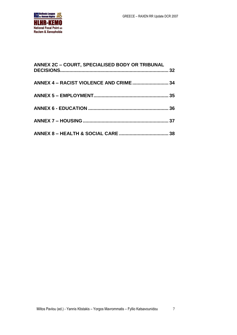

| ANNEX 2C - COURT, SPECIALISED BODY OR TRIBUNAL |  |
|------------------------------------------------|--|
|                                                |  |
|                                                |  |
|                                                |  |
|                                                |  |
|                                                |  |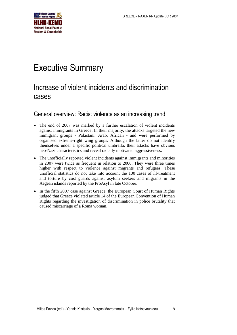

# <span id="page-7-0"></span>Executive Summary

## Increase of violent incidents and discrimination cases

#### General overview: Racist violence as an increasing trend

- The end of 2007 was marked by a further escalation of violent incidents against immigrants in Greece. In their majority, the attacks targeted the new immigrant groups - Pakistani, Arab, African - and were performed by organised extreme-right wing groups. Although the latter do not identify themselves under a specific political umbrella, their attacks have obvious neo-Nazi characteristics and reveal racially motivated aggressiveness.
- The unofficially reported violent incidents against immigrants and minorities in 2007 were twice as frequent in relation to 2006. They were three times higher with respect to violence against migrants and refugees. These unofficial statistics do not take into account the 100 cases of ill-treatment and torture by cost guards against asylum seekers and migrants in the Aegean islands reported by the ProAsyl in late October.
- In the fifth 2007 case against Greece, the European Court of Human Rights judged that Greece violated article 14 of the European Convention of Human Rights regarding the investigation of discrimination in police brutality that caused miscarriage of a Roma woman.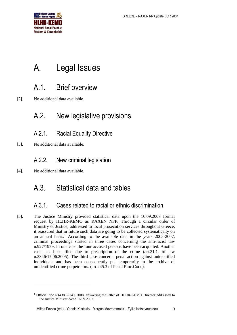

# <span id="page-8-0"></span>A. Legal Issues

## <span id="page-8-1"></span>A.1. Brief overview

[2]. No additional data available.

## <span id="page-8-2"></span>A.2. New legislative provisions

- <span id="page-8-3"></span>A.2.1. Racial Equality Directive
- [3]. No additional data available.

### <span id="page-8-4"></span>A.2.2. New criminal legislation

[4]. No additional data available.

-

## <span id="page-8-5"></span>A.3. Statistical data and tables

### <span id="page-8-6"></span>A.3.1. Cases related to racial or ethnic discrimination

[5]. The Justice Ministry provided statistical data upon the 16.09.2007 formal request by HLHR-KEMO as RAXEN NFP. Through a circular order of Ministry of Justice, addressed to local prosecution services throughout Greece, it reassured that in future such data are going to be collected systematically on an annual basis.<sup>1</sup> According to the available data in the years 2005-2007, criminal proceedings started in three cases concerning the anti-racist law n.927/1979. In one case the four accused persons have been acquitted. Another case has been filed due to prescription of the crime (art.31.1. of law n.3346/17.06.2005). The third case concerns penal action against unidentified individuals and has been consequently put temporarily in the archive of unidentified crime perpetrators. (art.245.3 of Penal Proc.Code).

<sup>&</sup>lt;sup>1</sup> Official doc.n.143832/14.1.2008, answering the letter of HLHR-KEMO Director addressed to the Justice Minister dated 16.09.2007.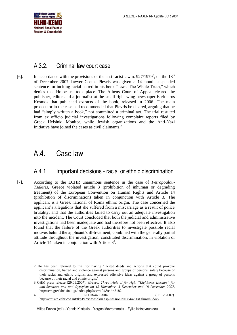

#### <span id="page-9-0"></span>A.3.2. Criminal law court case

[6]. In accordance with the provisions of the anti-racist law n.  $927/1979^2$ , on the  $13<sup>th</sup>$ of December 2007 lawyer Costas Plevris was given a 14-month suspended sentence for inciting racial hatred in his book "Jews: The Whole Truth," which denies that Holocaust took place. The Athens Court of Appeal cleared the publisher, editor and a journalist at the small right-wing newspaper Eleftheros Kosmos that published extracts of the book, released in 2006. The main prosecutor in the case had recommended that Plevris be cleared, arguing that he had "simply written a book," not committed a criminal act. The trial resulted from ex officio judicial investigations following complaint reports filed by Greek Helsinki Monitor, while Jewish organizations and the Anti-Nazi Initiative have joined the cases as civil claimants.<sup>3</sup>

## <span id="page-9-1"></span>A.4. Case law

1

#### <span id="page-9-2"></span>A.4.1. Important decisions - racial or ethnic discrimination

[7]. According to the ECHR unanimous sentence in the case of *Petropoulou-Tsakiris*, Greece violated article 3 (prohibition of inhuman or degrading treatment) of the European Convention on Human Rights and Article 14 (prohibition of discrimination) taken in conjunction with Article 3. The applicant is a Greek national of Roma ethnic origin. The case concerned the applicant's allegations that she suffered from a miscarriage as a result of police brutality, and that the authorities failed to carry out an adequate investigation into the incident. The Court concluded that both the judicial and administrative investigations had been inadequate and had therefore not been effective. It also found that the failure of the Greek authorities to investigate possible racial motives behind the applicant's ill-treatment, combined with the generally partial attitude throughout the investigation, constituted discrimination, in violation of Article 14 taken in conjunction with Article  $3^4$ .

<sup>2</sup> He has been referred to trial for having 'incited deeds and actions that could provoke discrimination, hatred and violence against persons and groups of persons, solely because of their racial and ethnic origins, and expressed offensive ideas against a group of persons because of their racial and ethnic origin.'

<sup>3</sup> GHM press release (29.09.2007), *Greece: Three trials of far right "Eleftheros Kosmos" for anti-Semitism and anti-Gypsyism on 15 November, 3 December and 18 December 2007,*  <http://cm.greekhelsinki.gr/index.php?sec=194&cid=3182> 4 ECHR/44803/04 (06.12.2007).

[http://cmiskp.echr.coe.int/tkp197/viewhbkm.asp?sessionId=3844790&skin=hudoc-](http://cmiskp.echr.coe.int/tkp197/viewhbkm.asp?sessionId=3844790&skin=hudoc-en&action=html&table=F69A27FD8FB86142BF01C1166DEA398649&key=66737&highlight)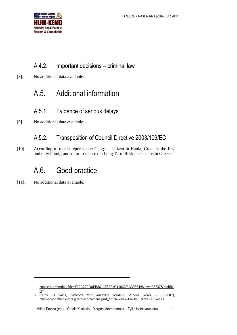

### <span id="page-10-0"></span>A.4.2. Important decisions – criminal law

[8]. No additional data available.

## <span id="page-10-1"></span>A.5. Additional information

#### <span id="page-10-2"></span>A.5.1. Evidence of serious delays

[9]. No additional data available.

### <span id="page-10-3"></span>A.5.2. Transposition of Council Directive 2003/109/EC

[10]. According to media reports, one Georgian citizen in Hania, Crete, is the first and only immigrant so far to secure the Long Term Residence status in Greece.<sup>5</sup>

## <span id="page-10-4"></span>A.6. Good practice

[11]. No additional data available.

1

[en&action=html&table=F69A27FD8FB86142BF01C1166DEA398649&key=66737&highlig](http://cmiskp.echr.coe.int/tkp197/viewhbkm.asp?sessionId=3844790&skin=hudoc-en&action=html&table=F69A27FD8FB86142BF01C1166DEA398649&key=66737&highlight)  $ht=$ 

<sup>5</sup> Kathy Tzilivakis, *Greece's first longterm resident*, Athens News, (30.11.2007), [http://www.athensnews.gr/athweb/nathens.prnt\\_article?e=C&f=&t=11&m=A13&aa=1](http://www.athensnews.gr/athweb/nathens.prnt_article?e=C&f=&t=11&m=A13&aa=1)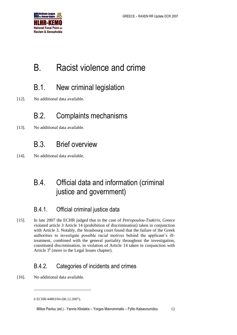

# <span id="page-11-0"></span>B. Racist violence and crime

## <span id="page-11-1"></span>B.1. New criminal legislation

[12]. No additional data available.

## <span id="page-11-2"></span>B.2. Complaints mechanisms

[13]. No additional data available.

## <span id="page-11-3"></span>B.3. Brief overview

[14]. No additional data available.

## <span id="page-11-4"></span>B.4. Official data and information (criminal justice and government)

### <span id="page-11-5"></span>B.4.1. Official criminal justice data

[15]. In late 2007 the ECHR judged that in the case of *Petropoulou-Tsakiris*, Greece violated article 3 Article 14 (prohibition of discrimination) taken in conjunction with Article 3. Notably, the Strasbourg court found that the failure of the Greek authorities to investigate possible racial motives behind the applicant's illtreatment, combined with the general partiality throughout the investigation, constituted discrimination, in violation of Article 14 taken in conjunction with Article  $3<sup>6</sup>$  (more in the Legal Issues chapter).

### <span id="page-11-6"></span>B.4.2. Categories of incidents and crimes

[16]. No additional data available.

1

<sup>6</sup> ECHR/44803/04 (06.12.2007).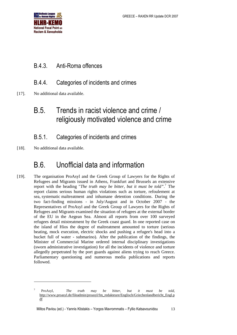

### <span id="page-12-0"></span>B.4.3. Anti-Roma offences

### <span id="page-12-1"></span>B.4.4. Categories of incidents and crimes

[17]. No additional data available.

## <span id="page-12-2"></span>B.5. Trends in racist violence and crime / religiously motivated violence and crime

### <span id="page-12-3"></span>B.5.1. Categories of incidents and crimes

[18]. No additional data available.

1

## <span id="page-12-4"></span>B.6. Unofficial data and information

[19]. The organisation ProAsyl and the Greek Group of Lawyers for the Rights of Refugees and Migrants issued in Athens, Frankfurt and Brussels an extensive report with the heading "*The truth may be bitter, but it must be told"*. <sup>7</sup> The report claims serious human rights violations such as torture, refoulement at sea, systematic maltreatment and inhumane detention conditions. During the two fact-finding missions - in July/August and in October 2007 - the Representatives of ProAsyl and the Greek Group of Lawyers for the Rights of Refugees and Migrants examined the situation of refugees at the external border of the EU in the Aegean Sea. Almost all reports from over 100 surveyed refugees detail mistreatment by the Greek coast guard. In one reported case on the island of Hios the degree of maltreatment amounted to torture (serious beating, mock execution, electric shocks and pushing a refugee's head into a bucket full of water - submarino). After the publication of the findings, the Minister of Commercial Marine ordered internal disciplinary investigations (sworn administrative investigation) for all the incidents of violence and torture allegedly perpetrated by the port guards against aliens trying to reach Greece. Parliamentary questioning and numerous media publications and reports followed.

<sup>7</sup> ProAsyl, *The truth may be bitter, but it must be told,* [http://www.proasyl.de/fileadmin/proasyl/fm\\_redakteure/Englisch/Griechenlandbericht\\_Engl.p](http://www.proasyl.de/fileadmin/proasyl/fm_redakteure/Englisch/Griechenlandbericht_Engl.pdf) [df](http://www.proasyl.de/fileadmin/proasyl/fm_redakteure/Englisch/Griechenlandbericht_Engl.pdf)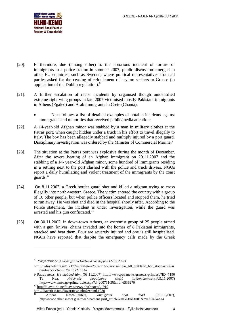

- [20]. Furthermore, due (among other) to the notorious incident of torture of immigrants in a police station in summer 2007, public discussion emerged in other EU countries, such as Sweden, where political representatives from all parties asked for the ceasing of refoulement of asylum seekers to Greece (in application of the Dublin regulation).<sup>8</sup>
- [21]. A further escalation of racist incidents by organised though unidentified extreme right-wing groups in late 2007 victimised mostly Pakistani immigrants in Athens (Egaleo) and Arab immigrants in Crete (Chania).
	- Next follows a list of detailed examples of notable incidents against immigrants and minorities that received public/media attention:
- [22]. A 14-year-old Afghan minor was stabbed by a man in military clothes at the Patras port, when caught hidden under a truck in his effort to travel illegally to Italy. The boy has been allegedly stabbed and multiply injured by a port guard. Disciplinary investigation was ordered by the Minister of Commercial Marine.<sup>9</sup>
- [23]. The situation at the Patras port was explosive during the month of December. After the severe beating of an Afghan immigrant on 29.11.2007 and the stabbing of a 14- year-old Afghan minor, some hundred of immigrants residing in a settling next to the port clashed with the police and truck drivers. NGOs report a daily humiliating and violent treatment of the immigrants by the coast guards.<sup>10</sup>
- [24]. On 8.11.2007, a Greek border guard shot and killed a migrant trying to cross illegally into north-western Greece. The victim entered the country with a group of 10 other people, but when police officers located and stopped them, he tried to run away. He was shot and died in the hospital shortly after. According to the Police statement, the incident is under investigation, while the guard was arrested and his gun confiscated.<sup>11</sup>
- [25]. On 30.11.2007, in down-town Athens, an extremist group of 25 people armed with a gun, knives, chains invaded into the homes of 8 Pakistani immigrants, attacked and beat them. Four are severely injured and one is still hospitalised. NGOs have reported that despite the emergency calls made by the Greek

-

<sup>8</sup> TV4nyheterna.se, *Avvisningar till Grekland bör stoppas,* (27.11.2007)

[http://tv4nyheterna.se/1.217749/nyheter/2007/11/27/avvisningar\\_till\\_grekland\\_bor\\_stoppas;jsessi](http://tv4nyheterna.se/1.217749/nyheter/2007/11/27/avvisningar_till_grekland_bor_stoppas;jsessionid=abcxZJeoLuYNhbYYfidAr) [onid=abcxZJeoLuYNhbYYfidAr](http://tv4nyheterna.se/1.217749/nyheter/2007/11/27/avvisningar_till_grekland_bor_stoppas;jsessionid=abcxZJeoLuYNhbYYfidAr)

<sup>9</sup> Patras news, *He stabbed him*, (08.11.2007)<http://www.patranews.gr/news-print.asp?ID=7190> Ta Nea, *Λιμενικός μαχαίρωσε νεαρό λαθρομετανάστη,(*09.11.2007) [http://www.tanea.gr//printarticle.aspx?d=20071109&nid=6536270](http://www.tanea.gr/printarticle.aspx?d=20071109&nid=6536270)

<sup>10</sup> <http://diavatirio.net/diavat/news.php?extend.1919>

<http://diavatirio.net/diavat/news.php?extend.1920>

<sup>11</sup> Athens News-Reuters, *Immigrant shot dead* ,(09.11.2007), [http://www.athensnews.gr/athweb/nathens.prnt\\_article?e=C&f=&t=01&m=A04&aa=4](http://www.athensnews.gr/athweb/nathens.prnt_article?e=C&f=&t=01&m=A04&aa=4)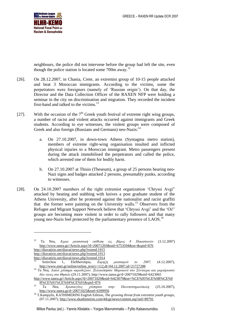

neighbours, the police did not intervene before the group had left the site, even though the police station is located some 700m away.<sup>12</sup>

- [26]. On 28.12.2007, in Chania, Crete, an extremist group of 10-15 people attacked and beat 3 Moroccan immigrants. According to the victims, some the perpetrators were foreigners (namely of 'Russian origin'). On that day, the Director and the Data Collection Officer of the RAXEN NFP were holding a seminar in the city on discrimination and migration. They recorded the incident first-hand and talked to the victims.<sup>13</sup>
- [27]. With the occasion of the  $7<sup>th</sup>$  Greek youth festival of extreme right wing groups, a number of racist and violent attacks occurred against immigrants and Greek students. According to eye witnesses, the violent groups were composed of Greek and also foreign (Russians and Germans) neo-Nazis:<sup>14</sup>
	- a. On 27.10.2007, in down-town Athens (Syntagma metro station), members of extreme right-wing organisation insulted and inflicted physical injuries to a Moroccan immigrant. Metro passengers present during the attack immobilised the perpetrators and called the police, which arrested one of them for bodily harm.
	- b. On 27.10.2007 at Thisio (Theseum), a group of 25 persons bearing neo-Nazi signs and badges attacked 2 persons, presumably punks, according to witnesses.
- [28]. On 24.10.2007 members of the right extremist organization 'Chryssi Avgi" attacked by beating and stabbing with knives a post graduate student of the Athens University, after he protested against the nationalist and racist graffiti that the former were painting on the University walls.<sup>15</sup> Observers from the Refugee and Migrant Support Network believe that 'Chryssi Avgi' and the 'Oi!' groups are becoming more violent in order to rally followers and that many young neo-Nazis feel protected by the parliamentary presence of LAOS.<sup>16</sup>

<http://diavatirio.net/diavat/news.php?extend.1915>

-

<http://diavatirio.net/diavat/news.php?extend.1913>

<sup>12</sup> Ta Nea, *Άγρια ρατσιστική επίθεση εις βάρος 8 Πακιστανών* (3.12.2007) [http://www.tanea.gr//Article.aspx?d=20071203&nid=6753594&sn=&spid=876](http://www.tanea.gr/Article.aspx?d=20071203&nid=6753594&sn=&spid=876)

<http://diavatirio.net/diavat/news.php?extend.1914>

<sup>13</sup> Sotirchou I., Eleftherotipia, *Εκρηξη ρατσισμού το 2007,* (4.12.2007), [http://www.enet.gr/online/online\\_text/c=112,dt=04.12.2007,id=21727288](http://www.enet.gr/online/online_text/c=112,dt=04.12.2007,id=21727288)

<sup>14</sup> Ta Nea, *Διπλό χτύπημα ακροδεξιών. Ξυλοκόπησαν Μαροκινό στο Σύνταγμα και μαχαίρωσαν δύο νέους στο Θησείο* (29.11.2007), http://www.tanea.gr/d=20071029&nid=6423065

[http://www.tanea.gr//Article.aspx?d=20071029&nid=6423079&sn=%CE%95%CE%9B%CE%9](http://www.tanea.gr/Article.aspx?d=20071029&nid=6423079&sn=%CE%95%CE%9B%CE%9B%CE%91%CE%94%CE%91&spid=876) [B%CE%91%CE%94%CE%91&spid=876](http://www.tanea.gr/Article.aspx?d=20071029&nid=6423079&sn=%CE%95%CE%9B%CE%9B%CE%91%CE%94%CE%91&spid=876)

<sup>15</sup> Ta Nea, *Χρυσαυγίτες χτύπησαν στην Πανεπιστημιούπολη* (25.10.2007), <http://www.tanea.gr/d=20071025&nid=6399956>

<sup>16</sup> T.Kampylis, KATHIMERINI English Edition, *The growing threat from extremist youth groups,*  (07.11.2007)[, http://www.ekathimerini.com/4dcgi/news/content.asp?aid=89791](http://www.ekathimerini.com/4dcgi/news/content.asp?aid=89791)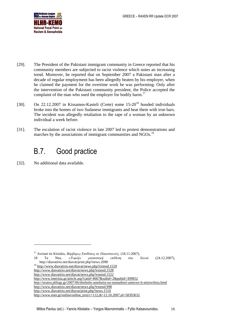

- [29]. The President of the Pakistani immigrant community in Greece reported that his community members are subjected to racist violence which notes an increasing trend. Moreover, he reported that on September 2007 a Pakistani man after a decade of regular employment has been allegedly beaten by his employer, when he claimed the payment for the overtime work he was performing. Only after the intervention of the Pakistani community president, the Police accepted the complaint of the man who sued the employer for bodily harm.<sup>17</sup>
- [30]. On 22.12.2007 in Kissamos-Kasteli (Crete) some 15-20<sup>18</sup> hooded individuals broke into the homes of two Sudanese immigrants and beat them with iron bars. The incident was allegedly retaliation to the rape of a woman by an unknown individual a week before.
- [31]. The escalation of racist violence in late 2007 led to protest demonstrations and marches by the associations of immigrant communities and NGOs.<sup>19</sup>

## <span id="page-15-0"></span>B.7. Good practice

[32]. No additional data available.

1

<sup>17</sup> Avriani tis Kiriakis, *Βάρβαρες Επιθέσεις σε Πακιστανούς,* (18.11.2007). 18 Ta Nea, *«Τυφλή» ρατσιστική επίθεση στα Χανιά* (24.12.2007), <http://diavatirio.net/diavat/print.php?news.2098> <sup>19</sup> <http://www.diavatirio.net/diavat/news.php?extend.1529> <http://www.diavatirio.net/diavat/news.php?extend.1528> <http://www.diavatirio.net/diavat/news.php?extend.1522> <http://www.imerisia.gr/article.asp?catid=4667&subid=2&pubid=309852> <http://stratos.pblogs.gr/2007/06/diethnhs-amnhstia-na-stamathsei-amesws-h-atimwrhsia.html> <http://www.diavatirio.net/diavat/news.php?extend.998> <http://www.diavatirio.net/diavat/print.php?news.1510> [http://www.enet.gr/online/online\\_text/c=112,dt=12.10.2007,id=58393632](http://www.enet.gr/online/online_text/c=112,dt=12.10.2007,id=58393632)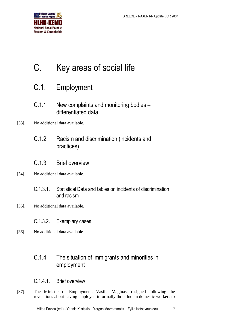

# <span id="page-16-0"></span>C. Key areas of social life

## <span id="page-16-1"></span>C.1. Employment

- <span id="page-16-2"></span>C.1.1. New complaints and monitoring bodies – differentiated data
- <span id="page-16-3"></span>[33]. No additional data available.
	- C.1.2. Racism and discrimination (incidents and practices)

#### <span id="page-16-4"></span>C.1.3. Brief overview

- <span id="page-16-5"></span>[34]. No additional data available.
	- C.1.3.1. Statistical Data and tables on incidents of discrimination and racism
- <span id="page-16-6"></span>[35]. No additional data available.
	- C.1.3.2. Exemplary cases
- [36]. No additional data available.

### <span id="page-16-7"></span>C.1.4. The situation of immigrants and minorities in employment

#### <span id="page-16-8"></span>C.1.4.1. Brief overview

[37]. The Minister of Employment, Vasilis Maginas, resigned following the revelations about having employed informally three Indian domestic workers to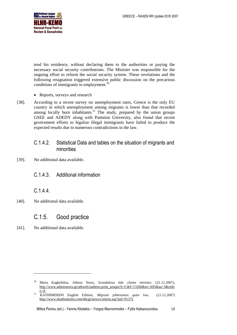

tend his residence, without declaring them to the authorities or paying the necessary social security contributions. The Minister was responsible for the ongoing effort to reform the social security system. These revelations and the following resignation triggered extensive public discussion on the precarious conditions of immigrants in employment. 20

- Reports, surveys and research
- [38]. According to a recent survey on unemployment rates, Greece is the only EU country in which unemployment among migrants is lower than that recorded among locally born inhabitants. $^{21}$  The study, prepared by the union groups GSEE and ADEDY along with Panteion University, also found that recent government efforts to legalize illegal immigrants have failed to produce the expected results due to numerous contradictions in the law.

#### <span id="page-17-0"></span>C.1.4.2. Statistical Data and tables on the situation of migrants and minorities

[39]. No additional data available.

#### <span id="page-17-1"></span>C.1.4.3. Additional information

<span id="page-17-2"></span>C.1.4.4.

[40]. No additional data available.

#### <span id="page-17-3"></span>C.1.5. Good practice

[41]. No additional data available.

-

<sup>20</sup> Maria Kagkelidou, Athens News, *Scandalous tide claims minister*, (21.12.2007), [http://www.athensnews.gr/athweb/nathens.print\\_unique?e=C&f=13266&m=A05&aa=3&eido](http://www.athensnews.gr/athweb/nathens.print_unique?e=C&f=13266&m=A05&aa=3&eidos=A) [s=A](http://www.athensnews.gr/athweb/nathens.print_unique?e=C&f=13266&m=A05&aa=3&eidos=A)

<sup>21</sup> KATHIMERINI English Edition, *Migrant joblessness quite low,* (21.12.2007) <http://www.ekathimerini.com/4dcgi/news/content.asp?aid=91372>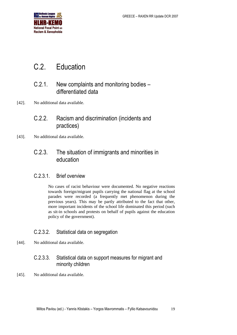

## <span id="page-18-0"></span>C.2. Education

### <span id="page-18-1"></span>C.2.1. New complaints and monitoring bodies – differentiated data

- <span id="page-18-2"></span>[42]. No additional data available.
	- C.2.2. Racism and discrimination (incidents and practices)
- [43]. No additional data available.

### <span id="page-18-3"></span>C.2.3. The situation of immigrants and minorities in education

#### <span id="page-18-4"></span>C.2.3.1. Brief overview

No cases of racist behaviour were documented. No negative reactions towards foreign/migrant pupils carrying the national flag at the school parades were recorded (a frequently met phenomenon during the previous years). This may be partly attributed to the fact that other, more important incidents of the school life dominated this period (such as sit-in schools and protests on behalf of pupils against the education policy of the government).

#### <span id="page-18-5"></span>C.2.3.2. Statistical data on segregation

[44]. No additional data available.

#### <span id="page-18-6"></span>C.2.3.3. Statistical data on support measures for migrant and minority children

[45]. No additional data available.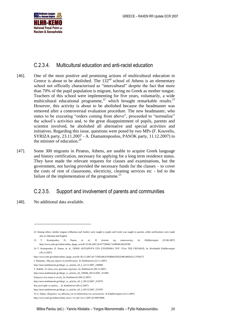

#### <span id="page-19-0"></span>C.2.3.4. Multicultural education and anti-racist education

- [46]. One of the most positive and promising actions of multicultural education in Greece is about to be abolished. The  $132<sup>nd</sup>$  school of Athens is an elementary school not officially characterised as "intercultural" despite the fact that more than 70% of the pupil population is migrant, having no Greek as mother tongue. Teachers of this school were implementing for five years, voluntarily, a wide multicultural educational programme,<sup>22</sup> which brought remarkable results.<sup>23</sup> However, this activity is about to be abolished because the headmaster was removed after a controversial evaluation procedure. The new headmaster, who states to be executing "orders coming from above", proceeded to "normalize" the school's activities and, to the great disappointment of pupils, parents and scientist involved, he abolished all alternative and special activities and initiatives. Regarding this issue, questions were posed by two MPs (F. Kouvelis, SYRIZA party, 23.11.2007 - A. Diamantopoulou, PASOK party, 11.12.2007) to the minister of education. 24
- [47]. Some 300 migrants in Piraeus, Athens, are unable to acquire Greek language and history certification, necessary for applying for a long term residence status. They have made the relevant requests for classes and examinations, but the government, not having provided the necessary funds for the classes – to cover the costs of rent of classrooms, electricity, cleaning services etc - led to the failure of the implementation of the programme.<sup>25</sup>

#### <span id="page-19-1"></span>C.2.3.5. Support and involvement of parents and communities

[48]. No additional data available.

1

<sup>22</sup> Among others, mother tongues (Albanian and Arabic) were taught to pupils and Greek was taught to parents, while notifications were made also in Albanian and English

<sup>23</sup> T. Kostopoulos, D. Psaras, et. al., Η γλώσσα της επικοινωνίας, In: *Eleftherotypia* (23.06.2007) [http://www.enet.gr/online/online\\_fpage\\_text/dt=23.06.2007,id=87720660,71449940,94234708](http://www.enet.gr/online/online_fpage_text/dt=23.06.2007,id=87720660,71449940,94234708)

<sup>24</sup> T. Kostopoulos, D. Psaras, et. al., ΠΟΙΟΙ ΑΝΤΙΔΡΟΥΝ ΣΤΟ ΣΤΟΙΧΗΜΑ ΤΟΥ 132ου ΤΗΣ ΓΚΡΑΒΑΣ; In: *Kiriakatiki Eleftherotypia* (30.12.2007)

[http://www.enet.gr/online/online\\_fpage\\_text/dt=30.12.2007,id=73285280,87458848,95022496,8065632,13794272](http://www.enet.gr/online/online_fpage_text/dt=30.12.2007,id=73285280,87458848,95022496,8065632,13794272)

I. Diamanti, «Μη μας πάρετε τη διευθύντρια». In: *Kathimerini* (22.11.2007)

[http://news.kathimerini.gr/4dcgi/\\_w\\_articles\\_ell\\_2\\_22/11/2007\\_249908](http://news.kathimerini.gr/4dcgi/_w_articles_ell_2_22/11/2007_249908)

T. Kabilis, Το τέλος ενός πρότυπου σχολείου. In: *Kathimerini* (09.12.2007)

http://news.kathimerini.gr/4dcgi/\_w\_articles\_ell\_100046\_09/12/2007\_251982

Επόμενοι στη σειρά οι γονείς. In: K*athimerini* (09.12.2007)

[http://news.kathimerini.gr/4dcgi/\\_w\\_articles\\_ell\\_3\\_09/12/2007\\_251979](http://news.kathimerini.gr/4dcgi/_w_articles_ell_3_09/12/2007_251979)

Και μετά ήρθε το κράτος ... In: *Kathimerini* (09.12.2007)

[http://news.kathimerini.gr/4dcgi/\\_w\\_articles\\_ell\\_3\\_09/12/2007\\_251978](http://news.kathimerini.gr/4dcgi/_w_articles_ell_3_09/12/2007_251978)

<sup>25</sup> G. Dama, «Ξέχασαν» τις αίθουσες για τη διδασκαλία των μεταναστών. In *Eleftherotypia* (14.11.2007)

http://www.enet.gr/online/online\_text/c=112,dt=14.11.2007.id=99670696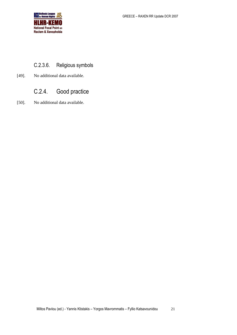

### <span id="page-20-0"></span>C.2.3.6. Religious symbols

[49]. No additional data available.

## <span id="page-20-1"></span>C.2.4. Good practice

[50]. No additional data available.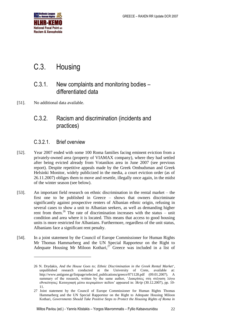

## <span id="page-21-0"></span>C.3. Housing

### <span id="page-21-1"></span>C.3.1. New complaints and monitoring bodies – differentiated data

[51]. No additional data available.

1

### <span id="page-21-2"></span>C.3.2. Racism and discrimination (incidents and practices)

#### <span id="page-21-3"></span>C.3.2.1. Brief overview

- [52]. Year 2007 ended with some 100 Roma families facing eminent eviction from a privately-owned area (property of VIAMAX company), where they had settled after being evicted already from Votanikos area in June 2007 (see previous report). Despite repetitive appeals made by the Greek Ombudsman and Greek Helsinki Monitor, widely publicized in the media, a court eviction order (as of 26.11.2007) obliges them to move and resettle, illegally once again, in the midst of the winter season (see below).
- [53]. An important field research on ethnic discrimination in the rental market the first one to be published in Greece – shows that owners discriminate significantly against prospective renters of Albanian ethnic origin, refusing in several cases to show a unit to Albanian seekers, as well as demanding higher rent from them.<sup>26</sup> The rate of discrimination increases with the status – unit condition and area where it is located. This means that access to good housing units is more restricted for Albanians. Furthermore, regardless of the unit status, Albanians face a significant rent penalty.
- [54]. In a joint statement by the Council of Europe Commissioner for Human Rights Mr Thomas Hammarberg and the UN Special Rapporteur on the Right to Adequate Housing Mr Miloon Kothari,<sup>27</sup> Greece was included in a list of

<sup>26</sup> N. Drydakis, *And the House Goes to; Ethnic Discrimination in the Greek Rental Market*', unpublished research conducted at the University of Crete, available at: http://www.antigone.gr/listpage/selected\_publications/greece/071128.pdf (09.01.2007). A summary of the research, written by the same author, 'Διακρίσεις στη στέγαση λόγω εθνικότητας: Καταγραφή μέσω πειραμάτων πεδίου' appeared in: *Skrip* (30.12.2007), pp. 10- 11.

<sup>27</sup> Joint statement by the Council of Europe Commissioner for Human Rights Thomas Hammarberg and the UN Special Rapporteur on the Right to Adequate Housing Miloon Kothari, *Governments Should Take Positive Steps to Protect the Housing Rights of Roma in*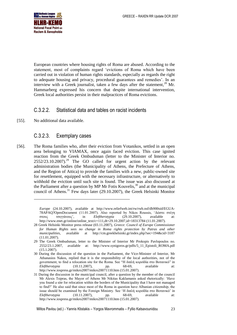

European countries where housing rights of Roma are abused. According to the statement, most of complaints regard 'evictions of Roma which have been carried out in violation of human rights standards, especially as regards the right to adequate housing and privacy, procedural guarantees and remedies'. In an interview with a Greek journalist, taken a few days after the statement,<sup>28</sup> Mr. Hammarberg expressed his concern that despite international intervention, Greek local authorities persist in their malpractices of Roma evictions.

#### <span id="page-22-0"></span>C.3.2.2. Statistical data and tables on racist incidents

[55]. No additional data available.

-

#### <span id="page-22-1"></span>C.3.2.3. Exemplary cases

[56]. The Roma families who, after their eviction from Votanikos, settled in an open area belonging to VIAMAX, once again faced eviction. This case ignited reaction from the Greek Ombudsman (letter to the Minister of Interior no.  $2552/23.10.2007$ .<sup>29</sup> The GO called for urgent action by the relevant administration bodies (the Municipality of Athens, the Prefecture of Athens, and the Region of Attica) to provide the families with a new, public-owned site for resettlement, equipped with the necessary infrastructure, or alternatively to withhold the eviction until such site is found. The issue was also discussed at the Parliament after a question by MP Mr Fotis Kouvelis,  $30$  and at the municipal council of Athens.<sup>31</sup> Few days later (29.10.2007), the Greek Helsinki Monitor

*Europe* (24.10.2007), available at [http://www.reliefweb.int/rw/rwb.nsf/db900sid/EGUA-](http://www.reliefweb.int/rw/rwb.nsf/db900sid/EGUA-78APAQ?OpenDocument)[78APAQ?OpenDocument](http://www.reliefweb.int/rw/rwb.nsf/db900sid/EGUA-78APAQ?OpenDocument) (11.01.2007). Also reported by Nikos Roussis, 'Δώστε στέγη στους τσιγγάνους', in *Eleftherotypia* (29.10.2007), available at: http://www.enet.gr/online/online\_text/c=111,dt=29.10.2007,id=18313784 (11.01.2007).

<sup>28</sup> Greek Helsinki Monitor press release (03.11.2007), *Greece: Council of Europe Commissioner for Human Rights sees no change in Roma rights protection by Patras and other municipalities*, available at http://cm.greekhelsinki.gr/index.php?sec=194&cid=3187 (11.01.2007).

<sup>29</sup> The Greek Ombudsman, letter to the Minister of Interior Mr Prokopis Pavlopoulos no. 2552/23.1.2007, available at: http://www.synigoros.gr/pdfs/5\_11\_Epistoli\_ROMA.pdf (15.1.2007).

<sup>30</sup> During the discussion of the question in the Parliament, the Vice-Minister of Interior, Mr Athanasios Nakos, replied that it is the responsibility of the local authorities, not of the government, to find a relocation site for the Roma. See "Η διπλή κοροϊδία στο Βοτανικό" in *Eleftherotypia* (10.11.2007), pp. 68-69, available at: http://www.iospress.gr/mikro2007/mikro20071110.htm (15.01.2007).

<sup>31</sup> During the discussion in the municipal council, after a question by the member of the council Mr Alexis Tsipras, the Mayor of Athens Mr Nikitas Kaklamanis asked rhetorically: 'Have you found a site for relocation within the borders of the Municipality that I have not managed to find?' He also said that since most of the Roma in question have Albanian citizenship, the issue should be examined by the Foreign Ministry. See 'Η διπλή κοροϊδία στο Βοτανικό' in *Eleftherotypia* (10.11.2007), pp. 68-69, available at: http://www.iospress.gr/mikro2007/mikro20071110.htm (15.01.2007).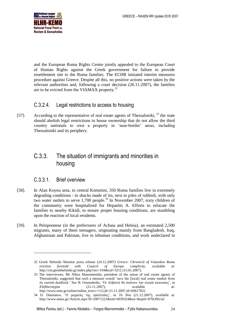

and the European Roma Rights Centre jointly appealed to the European Court of Human Rights against the Greek government for failure to provide resettlement site to the Roma families. The ECHR initiated interim measures procedure against Greece. Despite all this, no positive actions were taken by the relevant authorities and, following a court decision (26.11.2007), the families are to be evicted from the VIAMAX property.<sup>32</sup>

#### <span id="page-23-0"></span>C.3.2.4. Legal restrictions to access to housing

[57]. According to the representative of real estate agents of Thessaloniki,  $33$  the state should abolish legal restrictions to house ownership that do not allow the third country nationals to own a property in 'near-border' areas, including Thessaloniki and its periphery.

### <span id="page-23-1"></span>C.3.3. The situation of immigrants and minorities in housing

#### <span id="page-23-2"></span>C.3.3.1. Brief overview

-

- [58]. In Alan Koyou area, in central Komotini, 350 Roma families live in extremely degrading conditions - in shacks made of tin, next to piles of rubbish, with only two water outlets to serve 1,700 people.<sup>34</sup> In November 2007, sixty children of the community were hospitalized for Hepatitis A. Efforts to relocate the families to nearby Kikidi, to ensure proper housing conditions, are stumbling upon the reaction of local residents.
- [59]. In Peloponnese (in the prefectures of Achaia and Heleia), an estimated 2,500 migrants, many of them teenagers, originating mainly from Bangladesh, Iraq, Afghanistan and Pakistan, live in inhuman conditions, and work undeclared in

<sup>32</sup> Greek Helsinki Monitor press release (24.12.2007) *Greece: Chronicle of Votanikos Roma eviction foretold with Council of Europe complicity*, available at: http://cm.greekhelsinki.gr/index.php?sec=194&cid=3212 (15.01.2007).

<sup>33</sup> The interviewee, Mr Nikos Manomenidis, president of the union of real estate agents of Thessaloniki, suggested that such a measure would 'save the [local] real estate market from its current deadlock.' See B. Giannakidis, 'Οι Αλβανοί θα σώσουν την αγορά κατοικίας', in *Eleftherotypia* (21.11.2007), available at: [http://www.enet.gr/online/online\\_text/c=112,dt=21.11.2007,id=69617832](http://www.enet.gr/online/online_text/c=112,dt=21.11.2007,id=69617832).

<sup>34</sup> D. Damianos, 'Ο μαχαλάς της ηπατίτιδας', in *Ta Nea* (21.12.2007), available at: http://www.tanea.gr//Article.aspx?d=20071221&nid=6939324&sn=&spid=876Official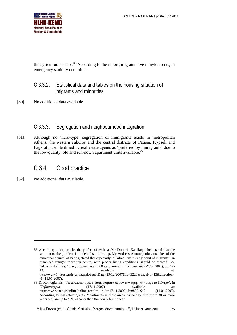

the agricultural sector.<sup>35</sup> According to the report, migrants live in nylon tents, in emergency sanitary conditions.

#### <span id="page-24-0"></span>C.3.3.2. Statistical data and tables on the housing situation of migrants and minorities

[60]. No additional data available.

#### <span id="page-24-1"></span>C.3.3.3. Segregation and neighbourhood integration

[61]. Although no 'hard-type' segregation of immigrants exists in metropolitan Athens, the western suburbs and the central districts of Patisia, Kypseli and Pagkrati, are identified by real estate agents as 'preferred by immigrants' due to the low-quality, old and run-down apartment units available.<sup>36</sup>

### <span id="page-24-2"></span>C.3.4. Good practice

[62]. No additional data available.

-

<sup>35</sup> According to the article, the prefect of Achaia, Mr Dimitris Katsikopoulos, stated that the solution to the problem is to demolish the camp. Mr Andreas Antonopoulos, member of the municipal council of Patras, stated that especially in Patras - main entry point of migrants - an organized refugee reception centre, with proper living conditions, should be created. See Nikos Tsakanikas, 'Ένας στάβλος για 2.500 μετανάστες', in *Rizospastis* (29.12.2007), pp. 12- 13, available at:

[http://www1.rizospastis.gr/page.do?publDate=29/12/2007&id=9223&pageNo=13&direction=](http://www1.rizospastis.gr/page.do?publDate=29/12/2007&id=9223&pageNo=13&direction=-1) [-1](http://www1.rizospastis.gr/page.do?publDate=29/12/2007&id=9223&pageNo=13&direction=-1) (11.01.2007).

<sup>36</sup> D. Kontogiannis, 'Τα μεταχειρισμένα διαμερίσματα έχουν την τιμητική τους στο Κέντρο', in *Eleftherotypia* (17.11.2007), available at: [http://www.enet.gr/online/online\\_text/c=114,dt=17.11.2007,id=98951640](http://www.enet.gr/online/online_text/c=114,dt=17.11.2007,id=98951640) (11.01.2007). According to real estate agents, 'apartments in these areas, especially if they are 30 or more years old, are up to 50% cheaper than the newly built ones.'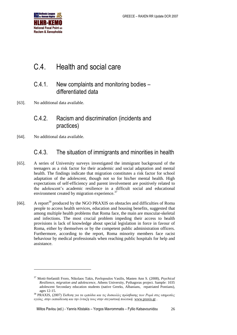

## <span id="page-25-0"></span>C.4. Health and social care

### <span id="page-25-1"></span>C.4.1. New complaints and monitoring bodies – differentiated data

[63]. No additional data available.

### <span id="page-25-2"></span>C.4.2. Racism and discrimination (incidents and practices)

[64]. No additional data available.

1

### <span id="page-25-3"></span>C.4.3. The situation of immigrants and minorities in health

- [65]. A series of University surveys investigated the immigrant background of the teenagers as a risk factor for their academic and social adaptation and mental health. The findings indicate that migration constitutes a risk factor for school adaptation of the adolescent, though not so for his/her mental health. High expectations of self-efficiency and parent involvement are positively related to the adolescent's academic resilience in a difficult social and educational environment created by migration experience.<sup>37</sup>
- [66]. A report<sup>38</sup> produced by the NGO PRAXIS on obstacles and difficulties of Roma people to access health services, education and housing benefits, suggested that among multiple health problems that Roma face, the main are muscular-skeletal and infections. The most crucial problem impeding their access to health provisions is lack of knowledge about special legislation in force in favour of Roma, either by themselves or by the competent public administration officers. Furthermore, according to the report, Roma minority members face racist behaviour by medical professionals when reaching public hospitals for help and assistance.

<sup>37</sup> Motti-Stefanidi Froro, Nikolaos Takis, Pavlopoulos Vasilis, Masten Ann S. (2008), *Psychical Resilience, migration and adolescence*, Athens University, Pythagoras project. Sample: 1035 adolescent Secondary education students (native Greeks, Albanians, repatriated Pontians), ages 12-15.

<sup>38</sup> PRAXIS, (2007) *Έκθεση για τα εμπόδια και τις δυσκολίες πρόσβασης των Ρομά στις υπηρεσίες υγείας, στην εκπαίδευση και την ένταξη τους στην στεγαστική πολιτική.* [www.praxis.gr](http://www.praxis.gr/) *.*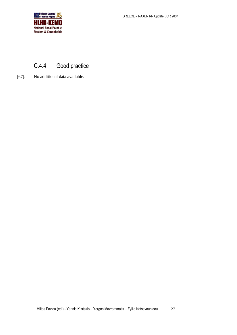

## <span id="page-26-0"></span>C.4.4. Good practice

[67]. No additional data available.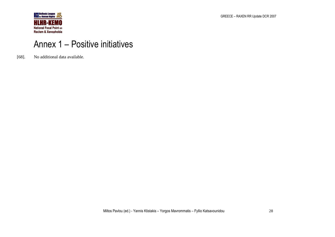

GREECE – RAXEN RR Update DCR 2007

# Annex 1 – Positive initiatives

<span id="page-27-0"></span>[68]. No additional data available.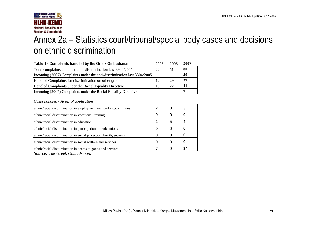

# Annex 2a – Statistics court/tribunal/special body cases and decisions on ethnic discrimination

| Table 1 - Complaints handled by the Greek Ombudsman                        | 2005 | 2006 | 2007 |
|----------------------------------------------------------------------------|------|------|------|
| Total complaints under the anti-discrimination law 3304/2005               | 22   | 51   | 80   |
| Incoming $(2007)$ Complaints under the anti-discrimination law $3304/2005$ |      |      | 40   |
| Handled Complaints for discrimination on other grounds                     | 12   | 29   | 39   |
| Handled Complaints under the Racial Equality Directive                     | 10   | 22   | 41   |
| Incoming (2007) Complaints under the Racial Equality Directive             |      |      |      |

*Cases handled - Areas of application*

| ethnic/racial discrimination in employment and working conditions   |  |    |
|---------------------------------------------------------------------|--|----|
| ethnic/racial discrimination in vocational training                 |  |    |
| ethnic/racial discrimination in education                           |  |    |
| ethnic/racial discrimination in participation to trade unions       |  |    |
| ethnic/racial discrimination in social protection, health, security |  |    |
| ethnic/racial discrimination in social welfare and services         |  |    |
| ethnic/racial discrimination in access to goods and services        |  | 34 |
|                                                                     |  |    |

<span id="page-28-0"></span>*Source: The Greek Ombudsman.*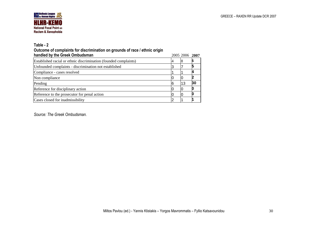

#### **Table - 2**

#### **Outcome of complaints for discrimination on grounds of race / ethnic origin**

| handled by the Greek Ombudsman                                   |   | 2005 2006 2007 |    |
|------------------------------------------------------------------|---|----------------|----|
| Established racial or ethnic discrimination (founded complaints) | 4 | ΙX             |    |
| Unfounded complaints - discrimination not established            |   |                |    |
| Compliance - cases resolved                                      |   |                |    |
| Non compliance                                                   |   |                |    |
| Pending                                                          | 6 | 13             | 30 |
| Reference for disciplinary action                                |   |                |    |
| Reference to the prosecutor for penal action                     |   |                |    |
| Cases closed for inadmissibility                                 |   |                |    |

<span id="page-29-0"></span>*Source: The Greek Ombudsman.*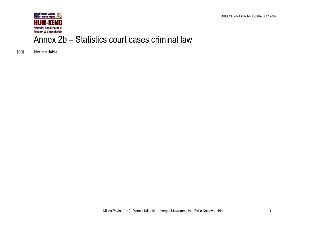GREECE – RAXEN RR Update DCR 2007



[69]. Not available.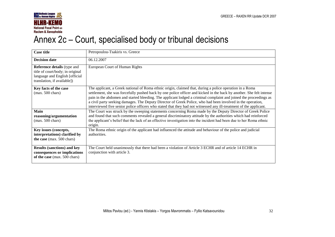

# Annex 2c – Court, specialised body or tribunal decisions

<span id="page-31-0"></span>

| <b>Case title</b>                                                                                                                       | Petropoulou-Tsakiris vs. Greece                                                                                                                                                                                                                                                                                                                                                                                                                                                                                                                                                            |
|-----------------------------------------------------------------------------------------------------------------------------------------|--------------------------------------------------------------------------------------------------------------------------------------------------------------------------------------------------------------------------------------------------------------------------------------------------------------------------------------------------------------------------------------------------------------------------------------------------------------------------------------------------------------------------------------------------------------------------------------------|
| <b>Decision date</b>                                                                                                                    | 06.12.2007                                                                                                                                                                                                                                                                                                                                                                                                                                                                                                                                                                                 |
| <b>Reference details</b> (type and<br>title of court/body; in original<br>language and English [official<br>translation, if available]) | European Court of Human Rights                                                                                                                                                                                                                                                                                                                                                                                                                                                                                                                                                             |
| Key facts of the case<br>$(max. 500 \text{ chars})$                                                                                     | The applicant, a Greek national of Roma ethnic origin, claimed that, during a police operation in a Roma<br>settlement, she was forcefully pushed back by one police officer and kicked in the back by another. She felt intense<br>pain in the abdomen and started bleeding. The applicant lodged a criminal complaint and joined the proceedings as<br>a civil party seeking damages. The Deputy Director of Greek Police, who had been involved in the operation,<br>interviewed five senior police officers who stated that they had not witnessed any ill-treatment of the applicant. |
| Main<br>reasoning/argumentation<br>$(max. 500 \text{ chars})$                                                                           | The Court was struck by the sweeping statements concerning Roma made by the Deputy Director of Greek Police<br>and found that such comments revealed a general discriminatory attitude by the authorities which had reinforced<br>the applicant's belief that the lack of an effective investigation into the incident had been due to her Roma ethnic<br>origin.                                                                                                                                                                                                                          |
| Key issues (concepts,<br>interpretations) clarified by<br>the case (max. 500 chars)                                                     | The Roma ethnic origin of the applicant had influenced the attitude and behaviour of the police and judicial<br>authorities.                                                                                                                                                                                                                                                                                                                                                                                                                                                               |
| <b>Results (sanctions) and key</b><br>consequences or implications<br>of the case (max. 500 chars)                                      | The Court held unanimously that there had been a violation of Article 3 ECHR and of article 14 ECHR in<br>conjunction with article 3.                                                                                                                                                                                                                                                                                                                                                                                                                                                      |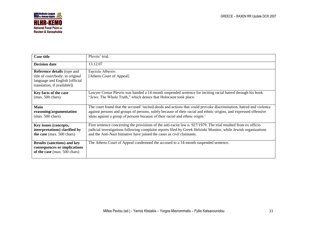

| <b>Case title</b>                                                                                                                       | Plevris' trial.                                                                                                                                                                                                                                                                                                         |
|-----------------------------------------------------------------------------------------------------------------------------------------|-------------------------------------------------------------------------------------------------------------------------------------------------------------------------------------------------------------------------------------------------------------------------------------------------------------------------|
| <b>Decision date</b>                                                                                                                    | 13.12.07                                                                                                                                                                                                                                                                                                                |
| <b>Reference details</b> (type and<br>title of court/body; in original<br>language and English [official<br>translation, if available]) | Εφετείο Αθηνών.<br>[Athens Court of Appeal]                                                                                                                                                                                                                                                                             |
| Key facts of the case<br>$(max. 500 \text{ chars})$                                                                                     | Lawyer Costas Plevris was handed a 14-month suspended sentence for inciting racial hatred through his book<br>"Jews: The Whole Truth," which denies that Holocaust took place.                                                                                                                                          |
| <b>Main</b><br>reasoning/argumentation<br>$(max. 500 \text{ chars})$                                                                    | The court found that the accused 'incited deeds and actions that could provoke discrimination, hatred and violence<br>against persons and groups of persons, solely because of their racial and ethnic origins, and expressed offensive<br>ideas against a group of persons because of their racial and ethnic origin.' |
| Key issues (concepts,<br>interpretations) clarified by<br>the case (max. 500 chars)                                                     | First sentence concerning the provisions of the anti-racist law n. 927/1979. The trial resulted from ex officio<br>judicial investigations following complaint reports filed by Greek Helsinki Monitor, while Jewish organizations<br>and the Anti-Nazi Initiative have joined the cases as civil claimants.            |
| <b>Results (sanctions) and key</b><br>consequences or implications<br>of the case (max. 500 chars)                                      | The Athens Court of Appeal condemned the accused to a 14-month suspended sentence.                                                                                                                                                                                                                                      |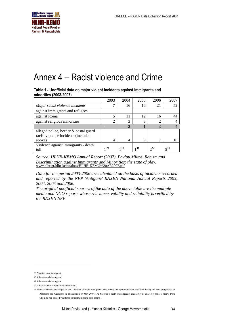

# <span id="page-33-0"></span>Annex 4 – Racist violence and Crime

**Table 1 - Unofficial data on major violent incidents against immigrants and minorities (2003-2007)** 

|                                       | 2003           | 2004 | 2005 | 2006     | 2007     |
|---------------------------------------|----------------|------|------|----------|----------|
| Major racist violence incidents       |                | 16   | 16   | 21       | 52       |
| against immigrants and refugees       |                |      |      |          |          |
| against Roma                          |                | 11   | 12   | 16       | 44       |
| against religious minorities          |                | 3    | 3    | റ        |          |
|                                       |                |      |      | 3        |          |
| alleged police, border & costal guard |                |      |      |          |          |
| racist violence incidents (included   |                |      |      |          |          |
| above)                                | $\overline{4}$ | 4    | 9    | ¬        | 10       |
| Violence against immigrants - death   |                |      |      |          |          |
| toll                                  | 39             | 140  | -41  | $2^{42}$ | $5^{43}$ |

*Source: HLHR-KEMO Annual Report (2007), Pavlou Miltos, Racism and Discrimination against Immigrants and Minorities: the state of play.*  [www.hlhr.gr/hlhr-kemo/docs/HLHR-KEMO%20AR2007.pdf](http://www.hlhr.gr/hlhr-kemo/docs/HLHR-KEMO%20AR2007.pdf)

*Data for the period 2003-2006 are calculated on the basis of incidents recorded and reported by the NFP 'Antigone' RAXEN National Annual Reports 2003, 2004, 2005 and 2006.*

*The original unofficial sources of the data of the above table are the multiple media and NGO reports whose relevance, validity and reliability is verified by the RAXEN NFP.*

-

<sup>39</sup> Nigerian male immigrant.

<sup>40</sup> Albanian male immigrant.

<sup>41</sup> Albanian male immigrant.

<sup>42</sup> Albanian and Georgian male immigrants.

<sup>43</sup> Three Albanians, one Nigerian, one Georgian, all male immigrants. Two among the reported victims are killed during and intra-group clash of Albanians and Georgians in Thessaloniki on May 2007. The Nigerian's death was allegedly caused by his chase by police officers, from whom he had allegedly suffered ill-treatment some days before.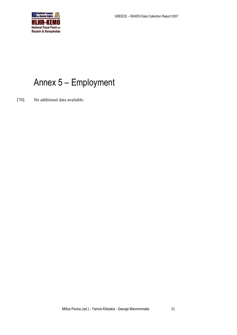

# <span id="page-34-0"></span>Annex 5 – Employment

[70]. No additional data available.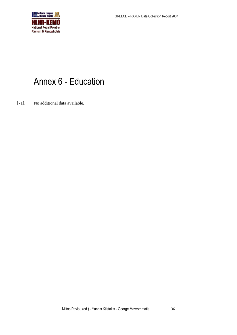

# <span id="page-35-0"></span>Annex 6 - Education

[71]. No additional data available.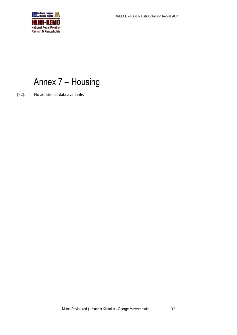

# <span id="page-36-0"></span>Annex 7 – Housing

[72]. No additional data available.